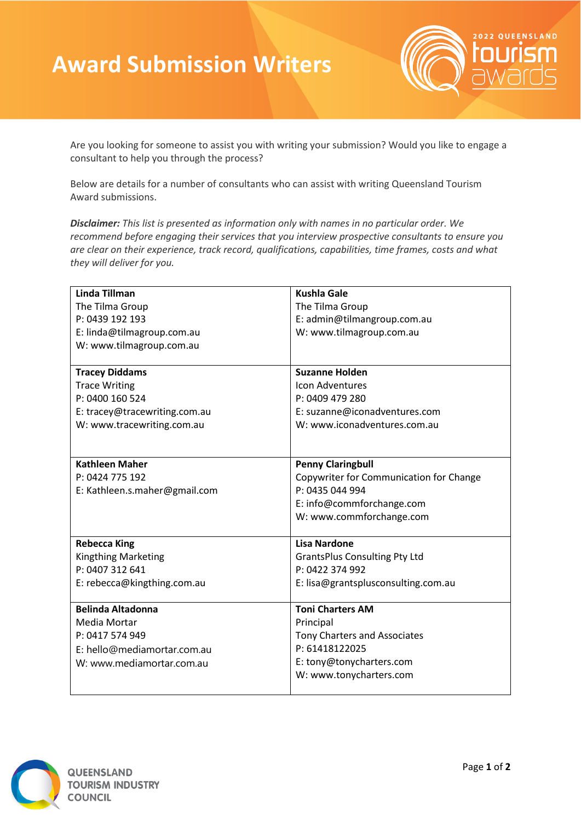## **Award Submission Writers**



Are you looking for someone to assist you with writing your submission? Would you like to engage a consultant to help you through the process?

Below are details for a number of consultants who can assist with writing Queensland Tourism Award submissions.

*Disclaimer: This list is presented as information only with names in no particular order. We recommend before engaging their services that you interview prospective consultants to ensure you are clear on their experience, track record, qualifications, capabilities, time frames, costs and what they will deliver for you.*

| <b>Linda Tillman</b>          | <b>Kushla Gale</b>                      |
|-------------------------------|-----------------------------------------|
| The Tilma Group               | The Tilma Group                         |
| P: 0439 192 193               | E: admin@tilmangroup.com.au             |
| E: linda@tilmagroup.com.au    | W: www.tilmagroup.com.au                |
| W: www.tilmagroup.com.au      |                                         |
|                               |                                         |
| <b>Tracey Diddams</b>         | <b>Suzanne Holden</b>                   |
| <b>Trace Writing</b>          | Icon Adventures                         |
| P: 0400 160 524               | P: 0409 479 280                         |
| E: tracey@tracewriting.com.au | E: suzanne@iconadventures.com           |
| W: www.tracewriting.com.au    | W: www.iconadventures.com.au            |
|                               |                                         |
|                               |                                         |
| <b>Kathleen Maher</b>         | <b>Penny Claringbull</b>                |
| P: 0424 775 192               | Copywriter for Communication for Change |
| E: Kathleen.s.maher@gmail.com | P: 0435 044 994                         |
|                               | E: info@commforchange.com               |
|                               | W: www.commforchange.com                |
|                               |                                         |
| <b>Rebecca King</b>           | <b>Lisa Nardone</b>                     |
| <b>Kingthing Marketing</b>    | <b>GrantsPlus Consulting Pty Ltd</b>    |
| P: 0407 312 641               | P: 0422 374 992                         |
| E: rebecca@kingthing.com.au   | E: lisa@grantsplusconsulting.com.au     |
|                               |                                         |
| <b>Belinda Altadonna</b>      | <b>Toni Charters AM</b>                 |
| Media Mortar                  | Principal                               |
| P: 0417 574 949               | Tony Charters and Associates            |
| E: hello@mediamortar.com.au   | P: 61418122025                          |
| W: www.mediamortar.com.au     | E: tony@tonycharters.com                |
|                               | W: www.tonycharters.com                 |
|                               |                                         |